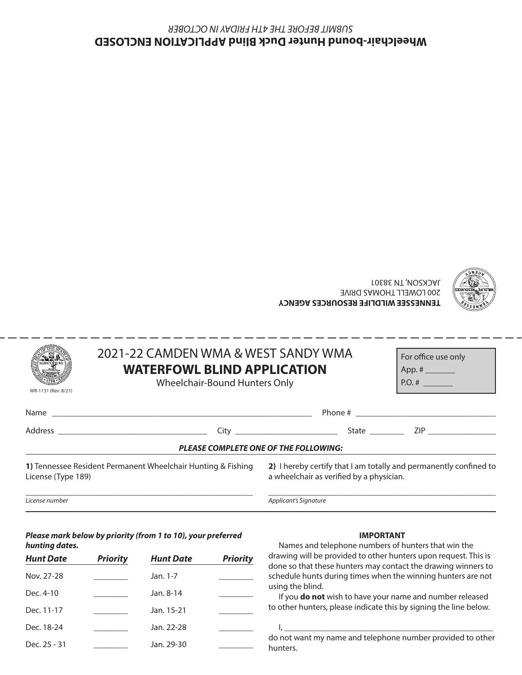#### **TENNESSEE WILDLIFE RESOURCES AGENCY** 200 LOWELL THOMAS DRIVE JACKSON, TN 38301



|                                              | 2021-22 CAMDEN WMA & WEST SANDY WMA                                 |                                                                                                                                                               | For office use only |  |  |  |
|----------------------------------------------|---------------------------------------------------------------------|---------------------------------------------------------------------------------------------------------------------------------------------------------------|---------------------|--|--|--|
|                                              | <b>WATERFOWL BLIND APPLICATION</b><br>Wheelchair-Bound Hunters Only |                                                                                                                                                               | $P.O. # \_$         |  |  |  |
| WR-1131 (Rev. 8/21)                          |                                                                     |                                                                                                                                                               |                     |  |  |  |
|                                              |                                                                     |                                                                                                                                                               |                     |  |  |  |
|                                              |                                                                     |                                                                                                                                                               |                     |  |  |  |
| <b>PLEASE COMPLETE ONE OF THE FOLLOWING:</b> |                                                                     |                                                                                                                                                               |                     |  |  |  |
| $1:$ $$ $1:$ $($ T $$ $1:$ $($ $0)$          | 1) Tennessee Resident Permanent Wheelchair Hunting & Fishing        | 2) I hereby certify that I am totally and permanently confined to<br>المستحدث والمستحدث والمتناسب والمستحدث والمستحدث والمستحدث والمستحدث والمستحدث والمستحدث |                     |  |  |  |

License (Type 189)

\_\_\_\_\_\_\_\_\_\_\_\_\_\_\_\_\_\_\_\_\_\_\_\_\_\_\_\_\_\_\_\_\_\_\_\_\_\_\_\_\_\_\_\_\_\_\_\_\_\_\_\_\_\_

a wheelchair as verified by a physician.

\_\_\_\_\_\_\_\_\_\_\_\_\_\_\_\_\_\_\_\_\_\_\_\_\_\_\_\_\_\_\_\_\_\_\_\_\_\_\_\_\_\_\_\_\_\_\_\_\_\_\_\_\_\_

*License number*

*Applicant's Signature*

#### *Please mark below by priority (from 1 to 10), your preferred hunting dates.*

| <b>Hunt Date</b> | <b>Priority</b> | <b>Hunt Date</b> | <b>Priority</b> |
|------------------|-----------------|------------------|-----------------|
| Nov. 27-28       |                 | Jan. 1-7         |                 |
| Dec. 4-10        |                 | Jan. 8-14        |                 |
| Dec. 11-17       |                 | Jan. 15-21       |                 |
| Dec. 18-24       |                 | Jan. 22-28       |                 |
| Dec. 25 - 31     |                 | Jan. 29-30       |                 |

### **IMPORTANT**

Names and telephone numbers of hunters that win the drawing will be provided to other hunters upon request. This is done so that these hunters may contact the drawing winners to schedule hunts during times when the winning hunters are not using the blind.

If you **do not** wish to have your name and number released to other hunters, please indicate this by signing the line below.

do not want my name and telephone number provided to other hunters.

I, \_\_\_\_\_\_\_\_\_\_\_\_\_\_\_\_\_\_\_\_\_\_\_\_\_\_\_\_\_\_\_\_\_\_\_\_\_\_\_\_\_\_\_\_\_\_\_\_\_

**Wheelchair-bound Hunter Duck Blind APPLICATION ENCLOSED** *SUBMIT BEFORE THE 4TH FRIDAY IN OCTOBER*